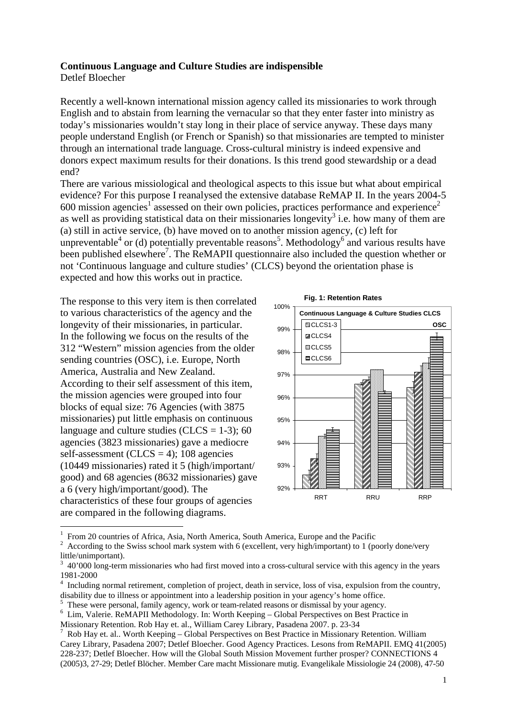## **Continuous Language and Culture Studies are indispensible**

Detlef Bloecher

 $\overline{a}$ 

Recently a well-known international mission agency called its missionaries to work through English and to abstain from learning the vernacular so that they enter faster into ministry as today's missionaries wouldn't stay long in their place of service anyway. These days many people understand English (or French or Spanish) so that missionaries are tempted to minister through an international trade language. Cross-cultural ministry is indeed expensive and donors expect maximum results for their donations. Is this trend good stewardship or a dead end?

There are various missiological and theological aspects to this issue but what about empirical evidence? For this purpose I reanalysed the extensive database ReMAP II. In the years 2004-5 600 mission agencies<sup>1</sup> assessed on their own policies, practices performance and experience<sup>2</sup> as well as providing statistical data on their missionaries longevity<sup>3</sup> i.e. how many of them are (a) still in active service, (b) have moved on to another mission agency, (c) left for unpreventable<sup>4</sup> or (d) potentially preventable reasons<sup>5</sup>. Methodology<sup>6</sup> and various results have been published elsewhere<sup>7</sup>. The ReMAPII questionnaire also included the question whether or not 'Continuous language and culture studies' (CLCS) beyond the orientation phase is expected and how this works out in practice.

The response to this very item is then correlated to various characteristics of the agency and the longevity of their missionaries, in particular. In the following we focus on the results of the 312 "Western" mission agencies from the older sending countries (OSC), i.e. Europe, North America, Australia and New Zealand. According to their self assessment of this item, the mission agencies were grouped into four blocks of equal size: 76 Agencies (with 3875 missionaries) put little emphasis on continuous language and culture studies (CLCS =  $1-3$ ); 60 agencies (3823 missionaries) gave a mediocre self-assessment (CLCS = 4); 108 agencies (10449 missionaries) rated it 5 (high/important/ good) and 68 agencies (8632 missionaries) gave a 6 (very high/important/good). The characteristics of these four groups of agencies are compared in the following diagrams.





<sup>1</sup> From 20 countries of Africa, Asia, North America, South America, Europe and the Pacific

<sup>2</sup> According to the Swiss school mark system with 6 (excellent, very high/important) to 1 (poorly done/very little/unimportant).

<sup>3</sup> 40'000 long-term missionaries who had first moved into a cross-cultural service with this agency in the years 1981-2000

<sup>4</sup> Including normal retirement, completion of project, death in service, loss of visa, expulsion from the country, disability due to illness or appointment into a leadership position in your agency's home office.

<sup>5</sup> These were personal, family agency, work or team-related reasons or dismissal by your agency.

<sup>6</sup> Lim, Valerie. ReMAPII Methodology. In: Worth Keeping – Global Perspectives on Best Practice in

Missionary Retention. Rob Hay et. al., William Carey Library, Pasadena 2007. p. 23-34

<sup>7</sup> Rob Hay et. al.. Worth Keeping – Global Perspectives on Best Practice in Missionary Retention. William Carey Library, Pasadena 2007; Detlef Bloecher. Good Agency Practices. Lesons from ReMAPII. EMQ 41(2005) 228-237; Detlef Bloecher. How will the Global South Mission Movement further prosper? CONNECTIONS 4 (2005)3, 27-29; Detlef Blöcher. Member Care macht Missionare mutig. Evangelikale Missiologie 24 (2008), 47-50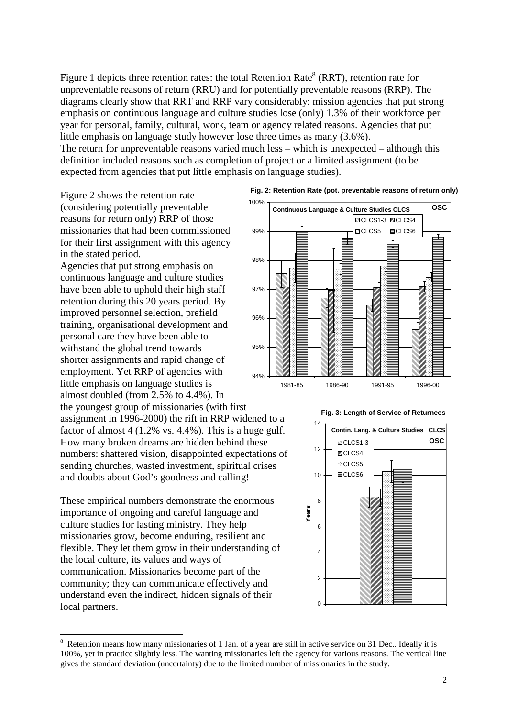Figure 1 depicts three retention rates: the total Retention Rate<sup>8</sup> (RRT), retention rate for unpreventable reasons of return (RRU) and for potentially preventable reasons (RRP). The diagrams clearly show that RRT and RRP vary considerably: mission agencies that put strong emphasis on continuous language and culture studies lose (only) 1.3% of their workforce per year for personal, family, cultural, work, team or agency related reasons. Agencies that put little emphasis on language study however lose three times as many (3.6%).

The return for unpreventable reasons varied much less – which is unexpected – although this definition included reasons such as completion of project or a limited assignment (to be expected from agencies that put little emphasis on language studies).

Figure 2 shows the retention rate (considering potentially preventable reasons for return only) RRP of those missionaries that had been commissioned for their first assignment with this agency in the stated period.

Agencies that put strong emphasis on continuous language and culture studies have been able to uphold their high staff retention during this 20 years period. By improved personnel selection, prefield training, organisational development and personal care they have been able to withstand the global trend towards shorter assignments and rapid change of employment. Yet RRP of agencies with little emphasis on language studies is almost doubled (from 2.5% to 4.4%). In

the youngest group of missionaries (with first assignment in 1996-2000) the rift in RRP widened to a factor of almost 4 (1.2% vs. 4.4%). This is a huge gulf. How many broken dreams are hidden behind these numbers: shattered vision, disappointed expectations of sending churches, wasted investment, spiritual crises and doubts about God's goodness and calling!

These empirical numbers demonstrate the enormous importance of ongoing and careful language and culture studies for lasting ministry. They help missionaries grow, become enduring, resilient and flexible. They let them grow in their understanding of the local culture, its values and ways of communication. Missionaries become part of the community; they can communicate effectively and understand even the indirect, hidden signals of their local partners.



**Fig. 2: Retention Rate (pot. preventable reasons of return only)**





 $\overline{a}$ <sup>8</sup> Retention means how many missionaries of 1 Jan. of a year are still in active service on 31 Dec.. Ideally it is 100%, yet in practice slightly less. The wanting missionaries left the agency for various reasons. The vertical line gives the standard deviation (uncertainty) due to the limited number of missionaries in the study.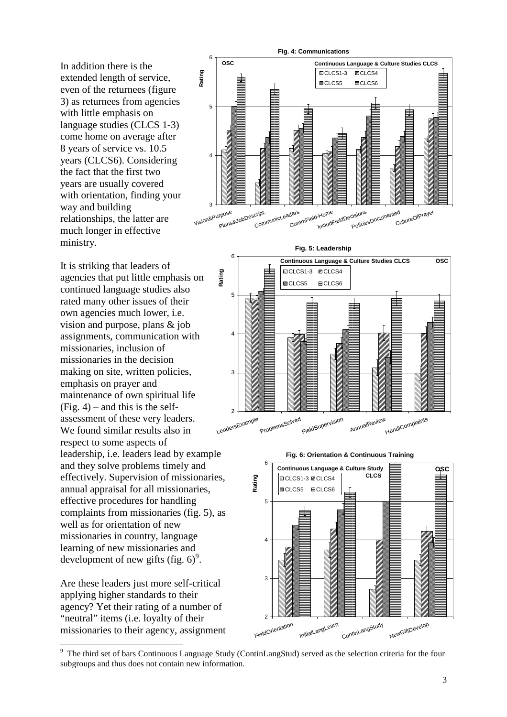In addition there is the extended length of service, even of the returnees (figure 3) as returnees from agencies with little emphasis on language studies (CLCS 1-3) come home on average after 8 years of service vs. 10.5 years (CLCS6). Considering the fact that the first two years are usually covered with orientation, finding your way and building relationships, the latter are much longer in effective ministry.

It is striking that leaders of agencies that put little emphasis on continued language studies also rated many other issues of their own agencies much lower, i.e. vision and purpose, plans & job assignments, communication with missionaries, inclusion of missionaries in the decision making on site, written policies, emphasis on prayer and maintenance of own spiritual life  $(Fig. 4)$  – and this is the selfassessment of these very leaders. We found similar results also in respect to some aspects of leadership, i.e. leaders lead by example and they solve problems timely and effectively. Supervision of missionaries, annual appraisal for all missionaries, effective procedures for handling complaints from missionaries (fig. 5), as well as for orientation of new missionaries in country, language learning of new missionaries and development of new gifts (fig.  $6$ )<sup>9</sup>.

Are these leaders just more self-critical applying higher standards to their agency? Yet their rating of a number of "neutral" items (i.e. loyalty of their missionaries to their agency, assignment

 $\overline{a}$ 











<sup>&</sup>lt;sup>9</sup> The third set of bars Continuous Language Study (ContinLangStud) served as the selection criteria for the four subgroups and thus does not contain new information.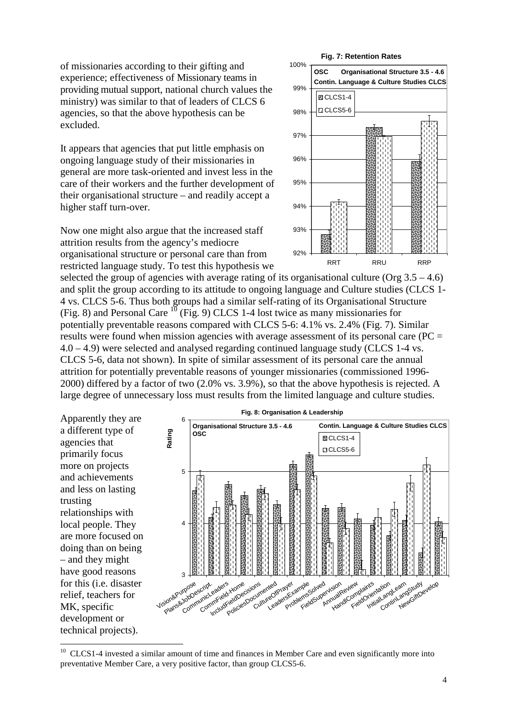of missionaries according to their gifting and experience; effectiveness of Missionary teams in providing mutual support, national church values the ministry) was similar to that of leaders of CLCS 6 agencies, so that the above hypothesis can be excluded.

It appears that agencies that put little emphasis on ongoing language study of their missionaries in general are more task-oriented and invest less in the care of their workers and the further development of their organisational structure – and readily accept a higher staff turn-over.

Now one might also argue that the increased staff attrition results from the agency's mediocre organisational structure or personal care than from restricted language study. To test this hypothesis we

## **Fig. 7: Retention Rates**



selected the group of agencies with average rating of its organisational culture (Org  $3.5 - 4.6$ ) and split the group according to its attitude to ongoing language and Culture studies (CLCS 1- 4 vs. CLCS 5-6. Thus both groups had a similar self-rating of its Organisational Structure (Fig. 8) and Personal Care  $^{10}$  (Fig. 9) CLCS 1-4 lost twice as many missionaries for potentially preventable reasons compared with CLCS 5-6: 4.1% vs. 2.4% (Fig. 7). Similar results were found when mission agencies with average assessment of its personal care (PC = 4.0 – 4.9) were selected and analysed regarding continued language study (CLCS 1-4 vs. CLCS 5-6, data not shown). In spite of similar assessment of its personal care the annual attrition for potentially preventable reasons of younger missionaries (commissioned 1996- 2000) differed by a factor of two (2.0% vs. 3.9%), so that the above hypothesis is rejected. A large degree of unnecessary loss must results from the limited language and culture studies.

Apparently they are a different type of agencies that primarily focus more on projects and achievements and less on lasting trusting relationships with local people. They are more focused on doing than on being – and they might have good reasons for this (i.e. disaster relief, teachers for MK, specific development or technical projects).

 $\overline{a}$ 



<sup>&</sup>lt;sup>10</sup> CLCS1-4 invested a similar amount of time and finances in Member Care and even significantly more into preventative Member Care, a very positive factor, than group CLCS5-6.